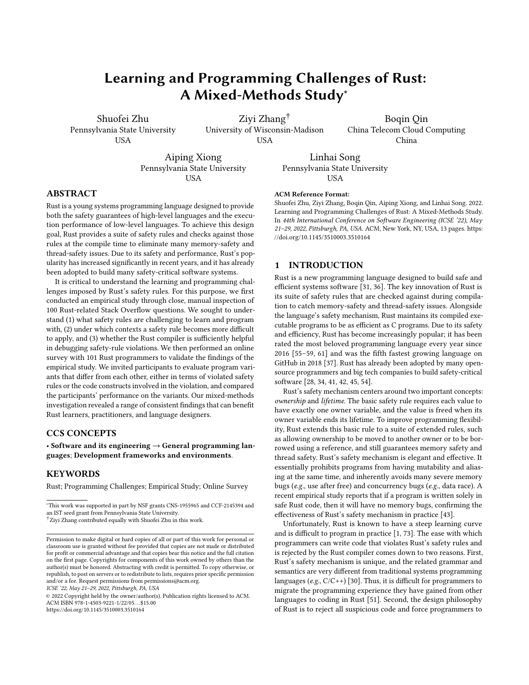# Learning and Programming Challenges of Rust: A Mixed-Methods Study<sup>∗</sup>

[Shuofei Zhu](https://orcid.org/0000-0003-3689-7668) Pennsylvania State University USA

[Ziyi Zhang](https://orcid.org/0000-0002-6963-3725)† University of Wisconsin-Madison **ISA** 

Boqin Qin China Telecom Cloud Computing China

[Aiping Xiong](https://orcid.org/0000-0001-7607-0695) Pennsylvania State University **USA** 

[Linhai Song](https://orcid.org/0000-0002-3185-9278) Pennsylvania State University **USA** 

# ABSTRACT

Rust is a young systems programming language designed to provide both the safety guarantees of high-level languages and the execution performance of low-level languages. To achieve this design goal, Rust provides a suite of safety rules and checks against those rules at the compile time to eliminate many memory-safety and thread-safety issues. Due to its safety and performance, Rust's popularity has increased significantly in recent years, and it has already been adopted to build many safety-critical software systems.

It is critical to understand the learning and programming challenges imposed by Rust's safety rules. For this purpose, we first conducted an empirical study through close, manual inspection of 100 Rust-related Stack Overflow questions. We sought to understand (1) what safety rules are challenging to learn and program with, (2) under which contexts a safety rule becomes more difficult to apply, and (3) whether the Rust compiler is sufficiently helpful in debugging safety-rule violations. We then performed an online survey with 101 Rust programmers to validate the findings of the empirical study. We invited participants to evaluate program variants that differ from each other, either in terms of violated safety rules or the code constructs involved in the violation, and compared the participants' performance on the variants. Our mixed-methods investigation revealed a range of consistent findings that can benefit Rust learners, practitioners, and language designers.

# CCS CONCEPTS

• Software and its engineering  $\rightarrow$  General programming languages; Development frameworks and environments.

# **KEYWORDS**

Rust; Programming Challenges; Empirical Study; Online Survey

ICSE '22, May 21–29, 2022, Pittsburgh, PA, USA

© 2022 Copyright held by the owner/author(s). Publication rights licensed to ACM. ACM ISBN 978-1-4503-9221-1/22/05. . . \$15.00 <https://doi.org/10.1145/3510003.3510164>

#### ACM Reference Format:

Shuofei Zhu, Ziyi Zhang, Boqin Qin, Aiping Xiong, and Linhai Song. 2022. Learning and Programming Challenges of Rust: A Mixed-Methods Study. In 44th International Conference on Software Engineering (ICSE '22), May 21–29, 2022, Pittsburgh, PA, USA. ACM, New York, NY, USA, [13](#page-12-0) pages. [https:](https://doi.org/10.1145/3510003.3510164) [//doi.org/10.1145/3510003.3510164](https://doi.org/10.1145/3510003.3510164)

# 1 INTRODUCTION

Rust is a new programming language designed to build safe and efficient systems software [\[31,](#page-11-0) [36\]](#page-11-1). The key innovation of Rust is its suite of safety rules that are checked against during compilation to catch memory-safety and thread-safety issues. Alongside the language's safety mechanism, Rust maintains its compiled executable programs to be as efficient as C programs. Due to its safety and efficiency, Rust has become increasingly popular; it has been rated the most beloved programming language every year since 2016 [\[55–](#page-12-1)[59,](#page-12-2) [61\]](#page-12-3) and was the fifth fastest growing language on GitHub in 2018 [\[37\]](#page-11-2). Rust has already been adopted by many opensource programmers and big tech companies to build safety-critical software [\[28,](#page-11-3) [34,](#page-11-4) [41,](#page-11-5) [42,](#page-11-6) [45,](#page-12-4) [54\]](#page-12-5).

Rust's safety mechanism centers around two important concepts: ownership and lifetime. The basic safety rule requires each value to have exactly one owner variable, and the value is freed when its owner variable ends its lifetime. To improve programming flexibility, Rust extends this basic rule to a suite of extended rules, such as allowing ownership to be moved to another owner or to be borrowed using a reference, and still guarantees memory safety and thread safety. Rust's safety mechanism is elegant and effective. It essentially prohibits programs from having mutability and aliasing at the same time, and inherently avoids many severe memory bugs (e.g., use after free) and concurrency bugs (e.g., data race). A recent empirical study reports that if a program is written solely in safe Rust code, then it will have no memory bugs, confirming the effectiveness of Rust's safety mechanism in practice [\[43\]](#page-11-7).

Unfortunately, Rust is known to have a steep learning curve and is difficult to program in practice [\[1,](#page-11-8) [73\]](#page-12-6). The ease with which programmers can write code that violates Rust's safety rules and is rejected by the Rust compiler comes down to two reasons. First, Rust's safety mechanism is unique, and the related grammar and semantics are very different from traditional systems programming languages (e.g., C/C++) [\[30\]](#page-11-9). Thus, it is difficult for programmers to migrate the programming experience they have gained from other languages to coding in Rust [\[51\]](#page-12-7). Second, the design philosophy of Rust is to reject all suspicious code and force programmers to

<sup>∗</sup>This work was supported in part by NSF grants CNS-1955965 and CCF-2145394 and an IST seed grant from Pennsylvania State University.

<sup>†</sup>Ziyi Zhang contributed equally with Shuofei Zhu in this work.

Permission to make digital or hard copies of all or part of this work for personal or classroom use is granted without fee provided that copies are not made or distributed for profit or commercial advantage and that copies bear this notice and the full citation on the first page. Copyrights for components of this work owned by others than the author(s) must be honored. Abstracting with credit is permitted. To copy otherwise, or republish, to post on servers or to redistribute to lists, requires prior specific permission and/or a fee. Request permissions from permissions@acm.org.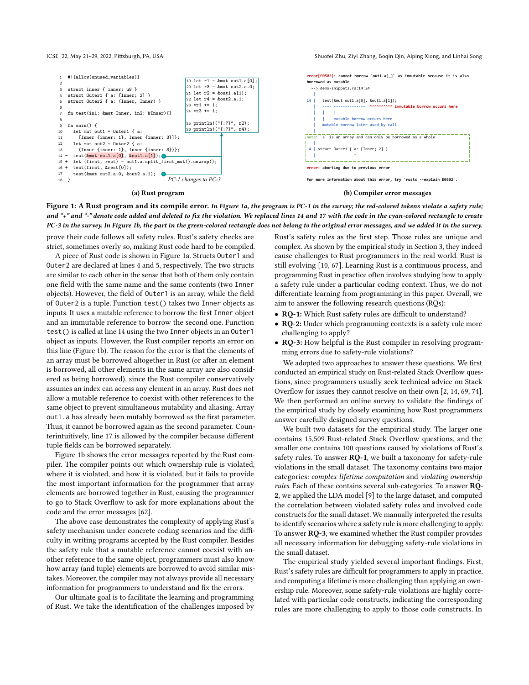ICSE '22, May 21-29, 2022, Pittsburgh, PA, USA Shuofei Zhu, Ziyi Zhang, Boqin Qin, Aiping Xiong, and Linhai Song

<span id="page-1-0"></span>

#### (a) Rust program

#### (b) Compiler error messages

Figure 1: A Rust program and its compile error. In Figure [1a,](#page-1-0) the program is PC-1 in the survey; the red-colored tokens violate a safety rule; and "+" and "-" denote code added and deleted to fix the violation. We replaced lines 14 and 17 with the code in the cyan-colored rectangle to create PC-3 in the survey. In Figure [1b,](#page-1-0) the part in the green-colored rectangle does not belong to the original error messages, and we added it in the survey.

prove their code follows all safety rules. Rust's safety checks are strict, sometimes overly so, making Rust code hard to be compiled.

A piece of Rust code is shown in Figure [1a.](#page-1-0) Structs Outer1 and Outer2 are declared at lines 4 and 5, respectively. The two structs are similar to each other in the sense that both of them only contain one field with the same name and the same contents (two Inner objects). However, the field of Outer1 is an array, while the field of Outer2 is a tuple. Function test() takes two Inner objects as inputs. It uses a mutable reference to borrow the first Inner object and an immutable reference to borrow the second one. Function test() is called at line 14 using the two Inner objects in an Outer1 object as inputs. However, the Rust compiler reports an error on this line (Figure [1b\)](#page-1-0). The reason for the error is that the elements of an array must be borrowed altogether in Rust (or after an element is borrowed, all other elements in the same array are also considered as being borrowed), since the Rust compiler conservatively assumes an index can access any element in an array. Rust does not allow a mutable reference to coexist with other references to the same object to prevent simultaneous mutability and aliasing. Array out1.a has already been mutably borrowed as the first parameter. Thus, it cannot be borrowed again as the second parameter. Counterintuitively, line 17 is allowed by the compiler because different tuple fields can be borrowed separately.

Figure [1b](#page-1-0) shows the error messages reported by the Rust compiler. The compiler points out which ownership rule is violated, where it is violated, and how it is violated, but it fails to provide the most important information for the programmer that array elements are borrowed together in Rust, causing the programmer to go to Stack Overflow to ask for more explanations about the code and the error messages [\[62\]](#page-12-8).

The above case demonstrates the complexity of applying Rust's safety mechanism under concrete coding scenarios and the difficulty in writing programs accepted by the Rust compiler. Besides the safety rule that a mutable reference cannot coexist with another reference to the same object, programmers must also know how array (and tuple) elements are borrowed to avoid similar mistakes. Moreover, the compiler may not always provide all necessary information for programmers to understand and fix the errors.

Our ultimate goal is to facilitate the learning and programming of Rust. We take the identification of the challenges imposed by Rust's safety rules as the first step. Those rules are unique and complex. As shown by the empirical study in Section [3,](#page-3-0) they indeed cause challenges to Rust programmers in the real world. Rust is still evolving [\[10,](#page-11-10) [67\]](#page-12-9). Learning Rust is a continuous process, and programming Rust in practice often involves studying how to apply a safety rule under a particular coding context. Thus, we do not differentiate learning from programming in this paper. Overall, we aim to answer the following research questions (RQs):

- RQ-1: Which Rust safety rules are difficult to understand?
- RQ-2: Under which programming contexts is a safety rule more challenging to apply?
- RQ-3: How helpful is the Rust compiler in resolving programming errors due to safety-rule violations?

We adopted two approaches to answer these questions. We first conducted an empirical study on Rust-related Stack Overflow questions, since programmers usually seek technical advice on Stack Overflow for issues they cannot resolve on their own [\[2,](#page-11-11) [14,](#page-11-12) [69,](#page-12-10) [74\]](#page-12-11). We then performed an online survey to validate the findings of the empirical study by closely examining how Rust programmers answer carefully designed survey questions.

We built two datasets for the empirical study. The larger one contains 15,509 Rust-related Stack Overflow questions, and the smaller one contains 100 questions caused by violations of Rust's safety rules. To answer RQ-1, we built a taxonomy for safety-rule violations in the small dataset. The taxonomy contains two major categories: complex lifetime computation and violating ownership rules. Each of these contains several sub-categories. To answer RQ-2, we applied the LDA model [\[9\]](#page-11-13) to the large dataset, and computed the correlation between violated safety rules and involved code constructs for the small dataset. We manually interpreted the results to identify scenarios where a safety rule is more challenging to apply. To answer RQ-3, we examined whether the Rust compiler provides all necessary information for debugging safety-rule violations in the small dataset.

The empirical study yielded several important findings. First, Rust's safety rules are difficult for programmers to apply in practice, and computing a lifetime is more challenging than applying an ownership rule. Moreover, some safety-rule violations are highly correlated with particular code constructs, indicating the corresponding rules are more challenging to apply to those code constructs. In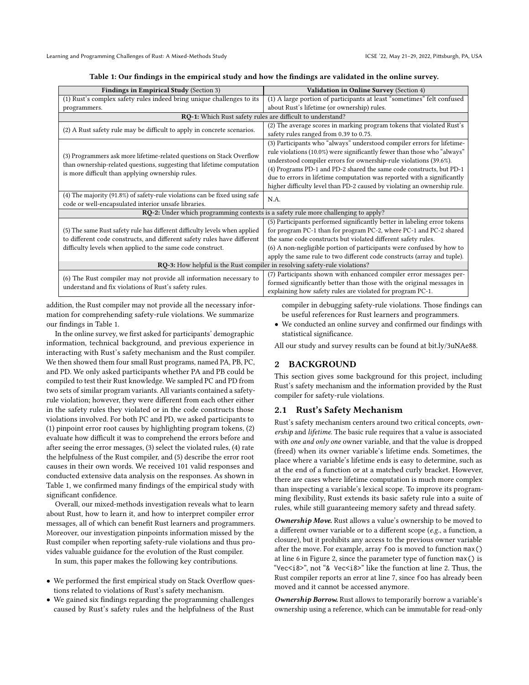|  | Table 1: Our findings in the empirical study and how the findings are validated in the online survey. |
|--|-------------------------------------------------------------------------------------------------------|
|  |                                                                                                       |

<span id="page-2-0"></span>

| <b>Findings in Empirical Study (Section 3)</b>                                | Validation in Online Survey (Section 4)                                                   |  |  |  |
|-------------------------------------------------------------------------------|-------------------------------------------------------------------------------------------|--|--|--|
| (1) Rust's complex safety rules indeed bring unique challenges to its         | (1) A large portion of participants at least "sometimes" felt confused                    |  |  |  |
| programmers.                                                                  | about Rust's lifetime (or ownership) rules.                                               |  |  |  |
|                                                                               | RQ-1: Which Rust safety rules are difficult to understand?                                |  |  |  |
| (2) A Rust safety rule may be difficult to apply in concrete scenarios.       | (2) The average scores in marking program tokens that violated Rust's                     |  |  |  |
|                                                                               | safety rules ranged from 0.39 to 0.75.                                                    |  |  |  |
|                                                                               | (3) Participants who "always" understood compiler errors for lifetime-                    |  |  |  |
| (3) Programmers ask more lifetime-related questions on Stack Overflow         | rule violations (10.0%) were significantly fewer than those who "always"                  |  |  |  |
| than ownership-related questions, suggesting that lifetime computation        | understood compiler errors for ownership-rule violations (39.6%).                         |  |  |  |
| is more difficult than applying ownership rules.                              | (4) Programs PD-1 and PD-2 shared the same code constructs, but PD-1                      |  |  |  |
|                                                                               | due to errors in lifetime computation was reported with a significantly                   |  |  |  |
|                                                                               | higher difficulty level than PD-2 caused by violating an ownership rule.                  |  |  |  |
| (4) The majority $(91.8\%)$ of safety-rule violations can be fixed using safe | N.A.                                                                                      |  |  |  |
| code or well-encapsulated interior unsafe libraries.                          |                                                                                           |  |  |  |
|                                                                               | <b>RQ-2:</b> Under which programming contexts is a safety rule more challenging to apply? |  |  |  |
|                                                                               | (5) Participants performed significantly better in labeling error tokens                  |  |  |  |
| (5) The same Rust safety rule has different difficulty levels when applied    | for program PC-1 than for program PC-2, where PC-1 and PC-2 shared                        |  |  |  |
| to different code constructs, and different safety rules have different       | the same code constructs but violated different safety rules.                             |  |  |  |
| difficulty levels when applied to the same code construct.                    | (6) A non-negligible portion of participants were confused by how to                      |  |  |  |
|                                                                               | apply the same rule to two different code constructs (array and tuple).                   |  |  |  |
| RQ-3: How helpful is the Rust compiler in resolving safety-rule violations?   |                                                                                           |  |  |  |
| (6) The Rust compiler may not provide all information necessary to            | (7) Participants shown with enhanced compiler error messages per-                         |  |  |  |
| understand and fix violations of Rust's safety rules.                         | formed significantly better than those with the original messages in                      |  |  |  |
|                                                                               | explaining how safety rules are violated for program PC-1.                                |  |  |  |

addition, the Rust compiler may not provide all the necessary information for comprehending safety-rule violations. We summarize our findings in Table [1.](#page-2-0)

In the online survey, we first asked for participants' demographic information, technical background, and previous experience in interacting with Rust's safety mechanism and the Rust compiler. We then showed them four small Rust programs, named PA, PB, PC, and PD. We only asked participants whether PA and PB could be compiled to test their Rust knowledge. We sampled PC and PD from two sets of similar program variants. All variants contained a safetyrule violation; however, they were different from each other either in the safety rules they violated or in the code constructs those violations involved. For both PC and PD, we asked participants to (1) pinpoint error root causes by highlighting program tokens, (2) evaluate how difficult it was to comprehend the errors before and after seeing the error messages, (3) select the violated rules, (4) rate the helpfulness of the Rust compiler, and (5) describe the error root causes in their own words. We received 101 valid responses and conducted extensive data analysis on the responses. As shown in Table [1,](#page-2-0) we confirmed many findings of the empirical study with significant confidence.

Overall, our mixed-methods investigation reveals what to learn about Rust, how to learn it, and how to interpret compiler error messages, all of which can benefit Rust learners and programmers. Moreover, our investigation pinpoints information missed by the Rust compiler when reporting safety-rule violations and thus provides valuable guidance for the evolution of the Rust compiler.

In sum, this paper makes the following key contributions.

- We performed the first empirical study on Stack Overflow questions related to violations of Rust's safety mechanism.
- We gained six findings regarding the programming challenges caused by Rust's safety rules and the helpfulness of the Rust

compiler in debugging safety-rule violations. Those findings can be useful references for Rust learners and programmers.

• We conducted an online survey and confirmed our findings with statistical significance.

All our study and survey results can be found at [bit.ly/3uNAe88.](https://github.com/system-pclub/rust-programming-challenges)

# 2 BACKGROUND

This section gives some background for this project, including Rust's safety mechanism and the information provided by the Rust compiler for safety-rule violations.

# 2.1 Rust's Safety Mechanism

Rust's safety mechanism centers around two critical concepts, ownership and lifetime. The basic rule requires that a value is associated with one and only one owner variable, and that the value is dropped (freed) when its owner variable's lifetime ends. Sometimes, the place where a variable's lifetime ends is easy to determine, such as at the end of a function or at a matched curly bracket. However, there are cases where lifetime computation is much more complex than inspecting a variable's lexical scope. To improve its programming flexibility, Rust extends its basic safety rule into a suite of rules, while still guaranteeing memory safety and thread safety.

Ownership Move. Rust allows a value's ownership to be moved to a different owner variable or to a different scope (e.g., a function, a closure), but it prohibits any access to the previous owner variable after the move. For example, array foo is moved to function max() at line 6 in Figure [2,](#page-3-1) since the parameter type of function max() is "Vec<i8>", not "& Vec<i8>" like the function at line 2. Thus, the Rust compiler reports an error at line 7, since foo has already been moved and it cannot be accessed anymore.

Ownership Borrow. Rust allows to temporarily borrow a variable's ownership using a reference, which can be immutable for read-only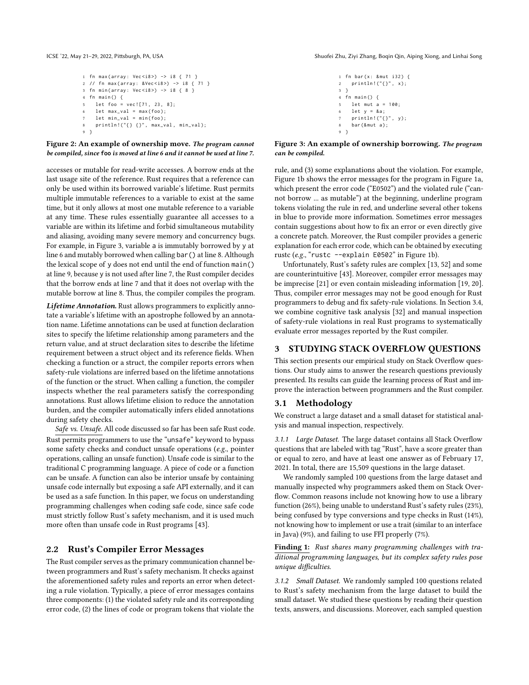<span id="page-3-1"></span>

```
1 fn max(array: Vec < i8) -> i8 { 71 }
2 / / fn max(array: & Vec < i8 >) -> i8 { 71 }
3 fn min(array: Vec <i8>) -> i8 { 8 }
4 fn main () {
5 let foo = vec ![71 , 23 , 8];
   let max_val = max(foo);
   let min_val = min(foo);
8    println!("{} {}", max_val, min_val);
9 }
```
Figure 2: An example of ownership move. The program cannot be compiled, since **foo** is moved at line 6 and it cannot be used at line 7.

accesses or mutable for read-write accesses. A borrow ends at the last usage site of the reference. Rust requires that a reference can only be used within its borrowed variable's lifetime. Rust permits multiple immutable references to a variable to exist at the same time, but it only allows at most one mutable reference to a variable at any time. These rules essentially guarantee all accesses to a variable are within its lifetime and forbid simultaneous mutability and aliasing, avoiding many severe memory and concurrency bugs. For example, in Figure [3,](#page-3-1) variable a is immutably borrowed by y at line 6 and mutably borrowed when calling bar() at line 8. Although the lexical scope of y does not end until the end of function main() at line 9, because y is not used after line 7, the Rust compiler decides that the borrow ends at line 7 and that it does not overlap with the mutable borrow at line 8. Thus, the compiler compiles the program.

Lifetime Annotation. Rust allows programmers to explicitly annotate a variable's lifetime with an apostrophe followed by an annotation name. Lifetime annotations can be used at function declaration sites to specify the lifetime relationship among parameters and the return value, and at struct declaration sites to describe the lifetime requirement between a struct object and its reference fields. When checking a function or a struct, the compiler reports errors when safety-rule violations are inferred based on the lifetime annotations of the function or the struct. When calling a function, the compiler inspects whether the real parameters satisfy the corresponding annotations. Rust allows lifetime elision to reduce the annotation burden, and the compiler automatically infers elided annotations during safety checks.

Safe vs. Unsafe. All code discussed so far has been safe Rust code. Rust permits programmers to use the "unsafe" keyword to bypass some safety checks and conduct unsafe operations (e.g., pointer operations, calling an unsafe function). Unsafe code is similar to the traditional C programming language. A piece of code or a function can be unsafe. A function can also be interior unsafe by containing unsafe code internally but exposing a safe API externally, and it can be used as a safe function. In this paper, we focus on understanding programming challenges when coding safe code, since safe code must strictly follow Rust's safety mechanism, and it is used much more often than unsafe code in Rust programs [\[43\]](#page-11-7).

# 2.2 Rust's Compiler Error Messages

The Rust compiler serves as the primary communication channel between programmers and Rust's safety mechanism. It checks against the aforementioned safety rules and reports an error when detecting a rule violation. Typically, a piece of error messages contains three components: (1) the violated safety rule and its corresponding error code, (2) the lines of code or program tokens that violate the

ICSE '22, May 21-29, 2022, Pittsburgh, PA, USA Shuofei Zhu, Ziyi Zhang, Boqin Qin, Aiping Xiong, and Linhai Song

```
1 fn bar (x: & mut i32) {
2    println!("{}", x);
3 }
4 fn main () {
5 let mut a = 100.
   let y = 8a;println!("{}", y);
    bar (& mut a);
9 }
```
# Figure 3: An example of ownership borrowing. The program can be compiled.

rule, and (3) some explanations about the violation. For example, Figure [1b](#page-1-0) shows the error messages for the program in Figure [1a,](#page-1-0) which present the error code ("E0502") and the violated rule ("cannot borrow ... as mutable") at the beginning, underline program tokens violating the rule in red, and underline several other tokens in blue to provide more information. Sometimes error messages contain suggestions about how to fix an error or even directly give a concrete patch. Moreover, the Rust compiler provides a generic explanation for each error code, which can be obtained by executing rustc (e.g., "rustc --explain E0502" in Figure [1b\)](#page-1-0).

Unfortunately, Rust's safety rules are complex [\[13,](#page-11-14) [52\]](#page-12-12) and some are counterintuitive [\[43\]](#page-11-7). Moreover, compiler error messages may be imprecise [\[21\]](#page-11-15) or even contain misleading information [\[19,](#page-11-16) [20\]](#page-11-17). Thus, compiler error messages may not be good enough for Rust programmers to debug and fix safety-rule violations. In Section [3.4,](#page-6-1) we combine cognitive task analysis [\[32\]](#page-11-18) and manual inspection of safety-rule violations in real Rust programs to systematically evaluate error messages reported by the Rust compiler.

# <span id="page-3-0"></span>3 STUDYING STACK OVERFLOW QUESTIONS

This section presents our empirical study on Stack Overflow questions. Our study aims to answer the research questions previously presented. Its results can guide the learning process of Rust and improve the interaction between programmers and the Rust compiler.

# 3.1 Methodology

We construct a large dataset and a small dataset for statistical analysis and manual inspection, respectively.

3.1.1 Large Dataset. The large dataset contains all Stack Overflow questions that are labeled with tag "Rust", have a score greater than or equal to zero, and have at least one answer as of February 17, 2021. In total, there are 15,509 questions in the large dataset.

We randomly sampled 100 questions from the large dataset and manually inspected why programmers asked them on Stack Overflow. Common reasons include not knowing how to use a library function (26%), being unable to understand Rust's safety rules (23%), being confused by type conversions and type checks in Rust (14%), not knowing how to implement or use a trait (similar to an interface in Java) (9%), and failing to use FFI properly (7%).

Finding 1: Rust shares many programming challenges with traditional programming languages, but its complex safety rules pose unique difficulties.

3.1.2 Small Dataset. We randomly sampled 100 questions related to Rust's safety mechanism from the large dataset to build the small dataset. We studied these questions by reading their question texts, answers, and discussions. Moreover, each sampled question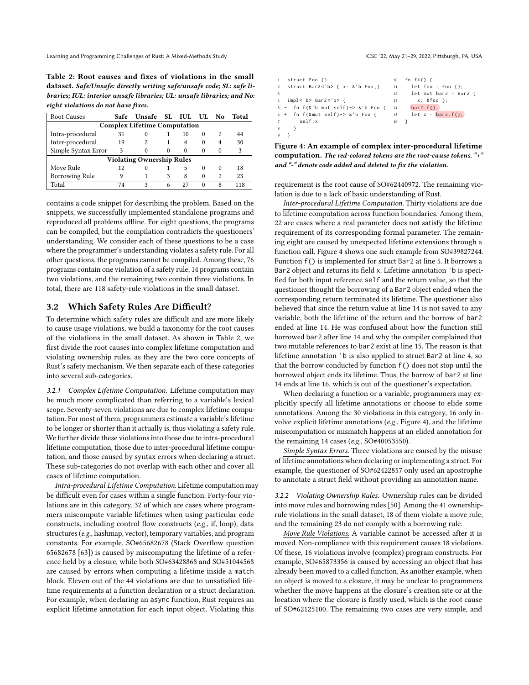Learning and Programming Challenges of Rust: A Mixed-Methods Study ICSE '22, May 21-29, 2022, Pittsburgh, PA, USA

<span id="page-4-0"></span>Table 2: Root causes and fixes of violations in the small dataset. Safe/Unsafe: directly writing safe/unsafe code; SL: safe libraries; IUL: interior unsafe libraries; UL: unsafe libraries; and No: eight violations do not have fixes.

| <b>Root Causes</b>                  |    | Safe Unsafe SL IUL UL No |   |    |          |          | Total |
|-------------------------------------|----|--------------------------|---|----|----------|----------|-------|
| <b>Complex Lifetime Computation</b> |    |                          |   |    |          |          |       |
| Intra-procedural                    | 31 | $_{0}$                   |   | 10 | $\Omega$ | 2        | 44    |
| Inter-procedural                    | 19 |                          |   | 4  | $\Omega$ | 4        | 30    |
| Simple Syntax Error                 | 3  | $\theta$                 | 0 | 0  | $\Omega$ | $\Omega$ | 3     |
| <b>Violating Ownership Rules</b>    |    |                          |   |    |          |          |       |
| Move Rule                           | 12 | 0                        |   | 5  | $\Omega$ | $\Omega$ | 18    |
| <b>Borrowing Rule</b>               | 9  |                          | 3 | 8  | $\Omega$ | 2        | 23    |
| Total                               | 74 | 3                        | 6 | 27 | 0        | 8        | 118   |

contains a code snippet for describing the problem. Based on the snippets, we successfully implemented standalone programs and reproduced all problems offline. For eight questions, the programs can be compiled, but the compilation contradicts the questioners' understanding. We consider each of these questions to be a case where the programmer's understanding violates a safety rule. For all other questions, the programs cannot be compiled. Among these, 76 programs contain one violation of a safety rule, 14 programs contain two violations, and the remaining two contain three violations. In total, there are 118 safety-rule violations in the small dataset.

# <span id="page-4-2"></span>3.2 Which Safety Rules Are Difficult?

To determine which safety rules are difficult and are more likely to cause usage violations, we build a taxonomy for the root causes of the violations in the small dataset. As shown in Table [2,](#page-4-0) we first divide the root causes into complex lifetime computation and violating ownership rules, as they are the two core concepts of Rust's safety mechanism. We then separate each of these categories into several sub-categories.

3.2.1 Complex Lifetime Computation. Lifetime computation may be much more complicated than referring to a variable's lexical scope. Seventy-seven violations are due to complex lifetime computation. For most of them, programmers estimate a variable's lifetime to be longer or shorter than it actually is, thus violating a safety rule. We further divide these violations into those due to intra-procedural lifetime computation, those due to inter-procedural lifetime computation, and those caused by syntax errors when declaring a struct. These sub-categories do not overlap with each other and cover all cases of lifetime computation.

Intra-procedural Lifetime Computation. Lifetime computation may be difficult even for cases within a single function. Forty-four violations are in this category, 32 of which are cases where programmers miscompute variable lifetimes when using particular code constructs, including control flow constructs (e.g., if, loop), data structures (e.g., hashmap, vector), temporary variables, and program constants. For example, SO#65682678 (Stack Overflow question 65682678 [\[63\]](#page-12-13)) is caused by miscomputing the lifetime of a reference held by a closure, while both SO#63428868 and SO#51044568 are caused by errors when computing a lifetime inside a match block. Eleven out of the 44 violations are due to unsatisfied lifetime requirements at a function declaration or a struct declaration. For example, when declaring an async function, Rust requires an explicit lifetime annotation for each input object. Violating this

<span id="page-4-1"></span>

| struct Foo {}<br>$\mathbf{1}$          | 10 | fn f4() {                   |
|----------------------------------------|----|-----------------------------|
| 2 struct Bar2<'b> { x: &'b Foo, } 11   |    | let foo = Foo $\{\}$ :      |
| 3                                      | 12 | let mut bar2 = Bar2 {       |
| 4 impl<'b> Bar2<'b> {                  | 13 | x: &foo };                  |
| $5 - fn f(& 'b mut self) -> & 'b Foot$ | 14 | $bar2.f()$ :                |
| $6 +$ fn f(&mut self)-> &'b Foo { 15   |    | let $z = \text{bar2.f}()$ ; |
| self.x                                 | 16 |                             |
| 8                                      |    |                             |
|                                        |    |                             |

Figure 4: An example of complex inter-procedural lifetime computation. The red-colored tokens are the root-cause tokens. "+" and "-" denote code added and deleted to fix the violation.

requirement is the root cause of SO#62440972. The remaining violation is due to a lack of basic understanding of Rust.

Inter-procedural Lifetime Computation. Thirty violations are due to lifetime computation across function boundaries. Among them, 22 are cases where a real parameter does not satisfy the lifetime requirement of its corresponding formal parameter. The remaining eight are caused by unexpected lifetime extensions through a function call. Figure [4](#page-4-1) shows one such example from SO#39827244. Function f() is implemented for struct Bar2 at line 5. It borrows a Bar2 object and returns its field x. Lifetime annotation 'b is specified for both input reference self and the return value, so that the questioner thought the borrowing of a Bar2 object ended when the corresponding return terminated its lifetime. The questioner also believed that since the return value at line 14 is not saved to any variable, both the lifetime of the return and the borrow of bar2 ended at line 14. He was confused about how the function still borrowed bar2 after line 14 and why the compiler complained that two mutable references to bar2 exist at line 15. The reason is that lifetime annotation 'b is also applied to struct Bar2 at line 4, so that the borrow conducted by function f() does not stop until the borrowed object ends its lifetime. Thus, the borrow of bar2 at line 14 ends at line 16, which is out of the questioner's expectation.

When declaring a function or a variable, programmers may explicitly specify all lifetime annotations or choose to elide some annotations. Among the 30 violations in this category, 16 only involve explicit lifetime annotations (e.g., Figure [4\)](#page-4-1), and the lifetime miscomputation or mismatch happens at an elided annotation for the remaining 14 cases (e.g., SO#40053550).

Simple Syntax Errors. Three violations are caused by the misuse of lifetime annotations when declaring or implementing a struct. For example, the questioner of SO#62422857 only used an apostrophe to annotate a struct field without providing an annotation name.

3.2.2 Violating Ownership Rules. Ownership rules can be divided into move rules and borrowing rules [\[50\]](#page-12-14). Among the 41 ownershiprule violations in the small dataset, 18 of them violate a move rule, and the remaining 23 do not comply with a borrowing rule.

Move Rule Violations. A variable cannot be accessed after it is moved. Non-compliance with this requirement causes 18 violations. Of these, 16 violations involve (complex) program constructs. For example, SO#65873356 is caused by accessing an object that has already been moved to a called function. As another example, when an object is moved to a closure, it may be unclear to programmers whether the move happens at the closure's creation site or at the location where the closure is firstly used, which is the root cause of SO#62125100. The remaining two cases are very simple, and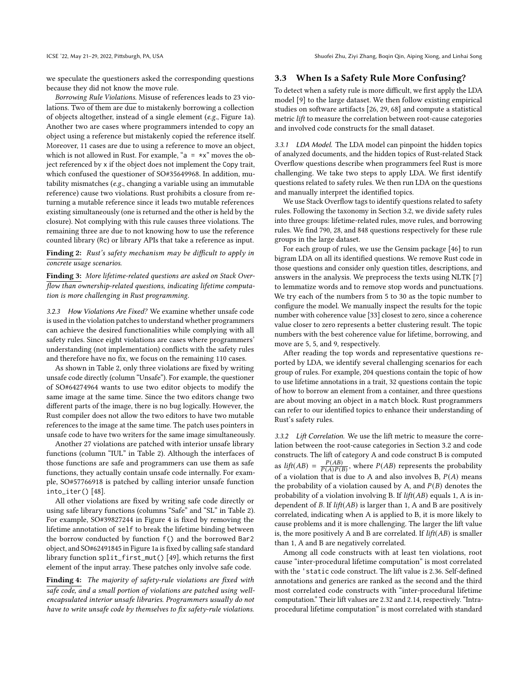ICSE '22, May 21-29, 2022, Pittsburgh, PA, USA Shuofei Zhu, Ziyi Zhang, Boqin Qin, Aiping Xiong, and Linhai Song

we speculate the questioners asked the corresponding questions because they did not know the move rule.

Borrowing Rule Violations. Misuse of references leads to 23 violations. Two of them are due to mistakenly borrowing a collection of objects altogether, instead of a single element (e.g., Figure [1a\)](#page-1-0). Another two are cases where programmers intended to copy an object using a reference but mistakenly copied the reference itself. Moreover, 11 cases are due to using a reference to move an object, which is not allowed in Rust. For example, " $a = \star x$ " moves the object referenced by x if the object does not implement the Copy trait, which confused the questioner of SO#35649968. In addition, mutability mismatches (e.g., changing a variable using an immutable reference) cause two violations. Rust prohibits a closure from returning a mutable reference since it leads two mutable references existing simultaneously (one is returned and the other is held by the closure). Not complying with this rule causes three violations. The remaining three are due to not knowing how to use the reference counted library (Rc) or library APIs that take a reference as input.

<span id="page-5-2"></span>Finding 2: Rust's safety mechanism may be difficult to apply in concrete usage scenarios.

<span id="page-5-1"></span>Finding 3: More lifetime-related questions are asked on Stack Overflow than ownership-related questions, indicating lifetime computation is more challenging in Rust programming.

3.2.3 How Violations Are Fixed? We examine whether unsafe code is used in the violation patches to understand whether programmers can achieve the desired functionalities while complying with all safety rules. Since eight violations are cases where programmers' understanding (not implementation) conflicts with the safety rules and therefore have no fix, we focus on the remaining 110 cases.

As shown in Table [2,](#page-4-0) only three violations are fixed by writing unsafe code directly (column "Unsafe"). For example, the questioner of SO#64274964 wants to use two editor objects to modify the same image at the same time. Since the two editors change two different parts of the image, there is no bug logically. However, the Rust compiler does not allow the two editors to have two mutable references to the image at the same time. The patch uses pointers in unsafe code to have two writers for the same image simultaneously.

Another 27 violations are patched with interior unsafe library functions (column "IUL" in Table [2\)](#page-4-0). Although the interfaces of those functions are safe and programmers can use them as safe functions, they actually contain unsafe code internally. For example, SO#57766918 is patched by calling interior unsafe function into\_iter() [\[48\]](#page-12-15).

All other violations are fixed by writing safe code directly or using safe library functions (columns "Safe" and "SL" in Table [2\)](#page-4-0). For example, SO#39827244 in Figure [4](#page-4-1) is fixed by removing the lifetime annotation of self to break the lifetime binding between the borrow conducted by function f() and the borrowed Bar2 object, and SO#62491845 in Figure [1a](#page-1-0) is fixed by calling safe standard library function split\_first\_mut() [\[49\]](#page-12-16), which returns the first element of the input array. These patches only involve safe code.

Finding 4: The majority of safety-rule violations are fixed with safe code, and a small portion of violations are patched using wellencapsulated interior unsafe libraries. Programmers usually do not have to write unsafe code by themselves to fix safety-rule violations.

#### <span id="page-5-0"></span>3.3 When Is a Safety Rule More Confusing?

To detect when a safety rule is more difficult, we first apply the LDA model [\[9\]](#page-11-13) to the large dataset. We then follow existing empirical studies on software artifacts [\[26,](#page-11-19) [29,](#page-11-20) [68\]](#page-12-17) and compute a statistical metric lift to measure the correlation between root-cause categories and involved code constructs for the small dataset.

3.3.1 LDA Model. The LDA model can pinpoint the hidden topics of analyzed documents, and the hidden topics of Rust-related Stack Overflow questions describe when programmers feel Rust is more challenging. We take two steps to apply LDA. We first identify questions related to safety rules. We then run LDA on the questions and manually interpret the identified topics.

We use Stack Overflow tags to identify questions related to safety rules. Following the taxonomy in Section [3.2,](#page-4-2) we divide safety rules into three groups: lifetime-related rules, move rules, and borrowing rules. We find 790, 28, and 848 questions respectively for these rule groups in the large dataset.

For each group of rules, we use the Gensim package [\[46\]](#page-12-18) to run bigram LDA on all its identified questions. We remove Rust code in those questions and consider only question titles, descriptions, and answers in the analysis. We preprocess the texts using NLTK [\[7\]](#page-11-21) to lemmatize words and to remove stop words and punctuations. We try each of the numbers from 5 to 30 as the topic number to configure the model. We manually inspect the results for the topic number with coherence value [\[33\]](#page-11-22) closest to zero, since a coherence value closer to zero represents a better clustering result. The topic numbers with the best coherence value for lifetime, borrowing, and move are 5, 5, and 9, respectively.

After reading the top words and representative questions reported by LDA, we identify several challenging scenarios for each group of rules. For example, 204 questions contain the topic of how to use lifetime annotations in a trait, 32 questions contain the topic of how to borrow an element from a container, and three questions are about moving an object in a match block. Rust programmers can refer to our identified topics to enhance their understanding of Rust's safety rules.

3.3.2 Lift Correlation. We use the lift metric to measure the correlation between the root-cause categories in Section [3.2](#page-4-2) and code constructs. The lift of category A and code construct B is computed as  $lift(AB) = \frac{P(AB)}{P(A)P(B)}$  $\frac{P(AB)}{P(A)P(B)}$ , where  $P(AB)$  represents the probability of a violation that is due to A and also involves B,  $P(A)$  means the probability of a violation caused by A, and  $P(B)$  denotes the probability of a violation involving B. If  $lift(AB)$  equals 1, A is independent of  $B$ . If  $lift(AB)$  is larger than 1, A and B are positively correlated, indicating when A is applied to B, it is more likely to cause problems and it is more challenging. The larger the lift value is, the more positively A and B are correlated. If  $lift(AB)$  is smaller than 1, A and B are negatively correlated.

Among all code constructs with at least ten violations, root cause "inter-procedural lifetime computation" is most correlated with the 'static code construct. The lift value is 2.36. Self-defined annotations and generics are ranked as the second and the third most correlated code constructs with "inter-procedural lifetime computation." Their lift values are 2.32 and 2.14, respectively. "Intraprocedural lifetime computation" is most correlated with standard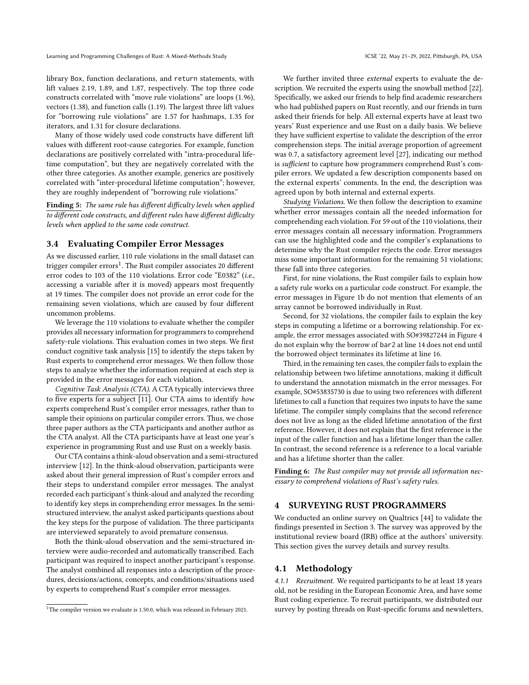library Box, function declarations, and return statements, with lift values 2.19, 1.89, and 1.87, respectively. The top three code constructs correlated with "move rule violations" are loops (1.96), vectors (1.38), and function calls (1.19). The largest three lift values for "borrowing rule violations" are 1.57 for hashmaps, 1.35 for iterators, and 1.31 for closure declarations.

Many of those widely used code constructs have different lift values with different root-cause categories. For example, function declarations are positively correlated with "intra-procedural lifetime computation", but they are negatively correlated with the other three categories. As another example, generics are positively correlated with "inter-procedural lifetime computation"; however, they are roughly independent of "borrowing rule violations."

<span id="page-6-3"></span>Finding 5: The same rule has different difficulty levels when applied to different code constructs, and different rules have different difficulty levels when applied to the same code construct.

#### <span id="page-6-1"></span>3.4 Evaluating Compiler Error Messages

As we discussed earlier, 110 rule violations in the small dataset can trigger compiler  $\text{errors}^1$  $\text{errors}^1$ . The Rust compiler associates 20 different error codes to 103 of the 110 violations. Error code "E0382" (i.e., accessing a variable after it is moved) appears most frequently at 19 times. The compiler does not provide an error code for the remaining seven violations, which are caused by four different uncommon problems.

We leverage the 110 violations to evaluate whether the compiler provides all necessary information for programmers to comprehend safety-rule violations. This evaluation comes in two steps. We first conduct cognitive task analysis [\[15\]](#page-11-23) to identify the steps taken by Rust experts to comprehend error messages. We then follow those steps to analyze whether the information required at each step is provided in the error messages for each violation.

Cognitive Task Analysis (CTA). A CTA typically interviews three to five experts for a subject [\[11\]](#page-11-24). Our CTA aims to identify how experts comprehend Rust's compiler error messages, rather than to sample their opinions on particular compiler errors. Thus, we chose three paper authors as the CTA participants and another author as the CTA analyst. All the CTA participants have at least one year's experience in programming Rust and use Rust on a weekly basis.

Our CTA contains a think-aloud observation and a semi-structured interview [\[12\]](#page-11-25). In the think-aloud observation, participants were asked about their general impression of Rust's compiler errors and their steps to understand compiler error messages. The analyst recorded each participant's think-aloud and analyzed the recording to identify key steps in comprehending error messages. In the semistructured interview, the analyst asked participants questions about the key steps for the purpose of validation. The three participants are interviewed separately to avoid premature consensus.

Both the think-aloud observation and the semi-structured interview were audio-recorded and automatically transcribed. Each participant was required to inspect another participant's response. The analyst combined all responses into a description of the procedures, decisions/actions, concepts, and conditions/situations used by experts to comprehend Rust's compiler error messages.

We further invited three external experts to evaluate the description. We recruited the experts using the snowball method [\[22\]](#page-11-26). Specifically, we asked our friends to help find academic researchers who had published papers on Rust recently, and our friends in turn asked their friends for help. All external experts have at least two years' Rust experience and use Rust on a daily basis. We believe they have sufficient expertise to validate the description of the error comprehension steps. The initial average proportion of agreement was 0.7, a satisfactory agreement level [\[27\]](#page-11-27), indicating our method is sufficient to capture how programmers comprehend Rust's compiler errors. We updated a few description components based on the external experts' comments. In the end, the description was agreed upon by both internal and external experts.

Studying Violations. We then follow the description to examine whether error messages contain all the needed information for comprehending each violation. For 59 out of the 110 violations, their error messages contain all necessary information. Programmers can use the highlighted code and the compiler's explanations to determine why the Rust compiler rejects the code. Error messages miss some important information for the remaining 51 violations; these fall into three categories.

First, for nine violations, the Rust compiler fails to explain how a safety rule works on a particular code construct. For example, the error messages in Figure [1b](#page-1-0) do not mention that elements of an array cannot be borrowed individually in Rust.

Second, for 32 violations, the compiler fails to explain the key steps in computing a lifetime or a borrowing relationship. For example, the error messages associated with SO#39827244 in Figure [4](#page-4-1) do not explain why the borrow of bar2 at line 14 does not end until the borrowed object terminates its lifetime at line 16.

Third, in the remaining ten cases, the compiler fails to explain the relationship between two lifetime annotations, making it difficult to understand the annotation mismatch in the error messages. For example, SO#53835730 is due to using two references with different lifetimes to call a function that requires two inputs to have the same lifetime. The compiler simply complains that the second reference does not live as long as the elided lifetime annotation of the first reference. However, it does not explain that the first reference is the input of the caller function and has a lifetime longer than the caller. In contrast, the second reference is a reference to a local variable and has a lifetime shorter than the caller.

<span id="page-6-4"></span>Finding 6: The Rust compiler may not provide all information necessary to comprehend violations of Rust's safety rules.

# <span id="page-6-0"></span>4 SURVEYING RUST PROGRAMMERS

We conducted an online survey on Qualtrics [\[44\]](#page-11-28) to validate the findings presented in Section [3.](#page-3-0) The survey was approved by the institutional review board (IRB) office at the authors' university. This section gives the survey details and survey results.

#### 4.1 Methodology

4.1.1 Recruitment. We required participants to be at least 18 years old, not be residing in the European Economic Area, and have some Rust coding experience. To recruit participants, we distributed our survey by posting threads on Rust-specific forums and newsletters,

<span id="page-6-2"></span><sup>&</sup>lt;sup>1</sup>The compiler version we evaluate is 1.50.0, which was released in February 2021.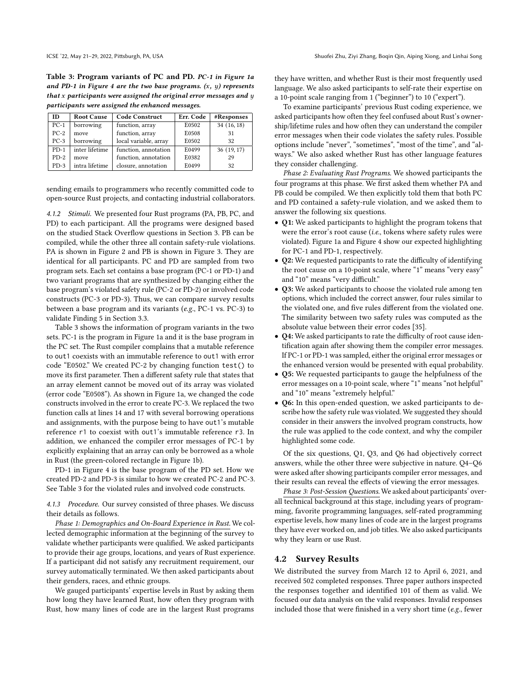<span id="page-7-0"></span>Table 3: Program variants of PC and PD. PC-1 in Figure [1a](#page-1-0) and PD-1 in Figure [4](#page-4-1) are the two base programs.  $(x, y)$  represents that  $x$  participants were assigned the original error messages and  $y$ participants were assigned the enhanced messages.

| ID     | <b>Root Cause</b> | <b>Code Construct</b> | Err. Code | #Responses |  |
|--------|-------------------|-----------------------|-----------|------------|--|
| $PC-1$ | borrowing         | function, array       | E0502     | 34(16, 18) |  |
| $PC-2$ | move              | function, array       | E0508     | 31         |  |
| $PC-3$ | borrowing         | local variable, array | E0502     | 32         |  |
| $PD-1$ | inter lifetime    | function, annotation  | E0499     | 36(19, 17) |  |
| $PD-2$ | move              | function, annotation  | E0382     | 29         |  |
| $PD-3$ | intra lifetime    | closure, annotation   | E0499     | 32         |  |

sending emails to programmers who recently committed code to open-source Rust projects, and contacting industrial collaborators.

<span id="page-7-1"></span>4.1.2 Stimuli. We presented four Rust programs (PA, PB, PC, and PD) to each participant. All the programs were designed based on the studied Stack Overflow questions in Section [3.](#page-3-0) PB can be compiled, while the other three all contain safety-rule violations. PA is shown in Figure [2](#page-3-1) and PB is shown in Figure [3.](#page-3-1) They are identical for all participants. PC and PD are sampled from two program sets. Each set contains a base program (PC-1 or PD-1) and two variant programs that are synthesized by changing either the base program's violated safety rule (PC-2 or PD-2) or involved code constructs (PC-3 or PD-3). Thus, we can compare survey results between a base program and its variants (e.g., PC-1 vs. PC-3) to validate Finding [5](#page-6-3) in Section [3.3.](#page-5-0)

Table [3](#page-7-0) shows the information of program variants in the two sets. PC-1 is the program in Figure [1a](#page-1-0) and it is the base program in the PC set. The Rust compiler complains that a mutable reference to out1 coexists with an immutable reference to out1 with error code "E0502." We created PC-2 by changing function test() to move its first parameter. Then a different safety rule that states that an array element cannot be moved out of its array was violated (error code "E0508"). As shown in Figure [1a,](#page-1-0) we changed the code constructs involved in the error to create PC-3. We replaced the two function calls at lines 14 and 17 with several borrowing operations and assignments, with the purpose being to have out1's mutable reference r1 to coexist with out1's immutable reference r3. In addition, we enhanced the compiler error messages of PC-1 by explicitly explaining that an array can only be borrowed as a whole in Rust (the green-colored rectangle in Figure [1b\)](#page-1-0).

PD-1 in Figure [4](#page-4-1) is the base program of the PD set. How we created PD-2 and PD-3 is similar to how we created PC-2 and PC-3. See Table [3](#page-7-0) for the violated rules and involved code constructs.

4.1.3 Procedure. Our survey consisted of three phases. We discuss their details as follows.

Phase 1: Demographics and On-Board Experience in Rust. We collected demographic information at the beginning of the survey to validate whether participants were qualified. We asked participants to provide their age groups, locations, and years of Rust experience. If a participant did not satisfy any recruitment requirement, our survey automatically terminated. We then asked participants about their genders, races, and ethnic groups.

We gauged participants' expertise levels in Rust by asking them how long they have learned Rust, how often they program with Rust, how many lines of code are in the largest Rust programs they have written, and whether Rust is their most frequently used language. We also asked participants to self-rate their expertise on a 10-point scale ranging from 1 ("beginner") to 10 ("expert").

To examine participants' previous Rust coding experience, we asked participants how often they feel confused about Rust's ownership/lifetime rules and how often they can understand the compiler error messages when their code violates the safety rules. Possible options include "never", "sometimes", "most of the time", and "always." We also asked whether Rust has other language features they consider challenging.

Phase 2: Evaluating Rust Programs. We showed participants the four programs at this phase. We first asked them whether PA and PB could be compiled. We then explicitly told them that both PC and PD contained a safety-rule violation, and we asked them to answer the following six questions.

- Q1: We asked participants to highlight the program tokens that were the error's root cause (i.e., tokens where safety rules were violated). Figure [1a](#page-1-0) and Figure [4](#page-4-1) show our expected highlighting for PC-1 and PD-1, respectively.
- Q2: We requested participants to rate the difficulty of identifying the root cause on a 10-point scale, where "1" means "very easy" and "10" means "very difficult."
- Q3: We asked participants to choose the violated rule among ten options, which included the correct answer, four rules similar to the violated one, and five rules different from the violated one. The similarity between two safety rules was computed as the absolute value between their error codes [\[35\]](#page-11-29).
- Q4: We asked participants to rate the difficulty of root cause identification again after showing them the compiler error messages. If PC-1 or PD-1 was sampled, either the original error messages or the enhanced version would be presented with equal probability.
- Q5: We requested participants to gauge the helpfulness of the error messages on a 10-point scale, where "1" means "not helpful" and "10" means "extremely helpful."
- Q6: In this open-ended question, we asked participants to describe how the safety rule was violated. We suggested they should consider in their answers the involved program constructs, how the rule was applied to the code context, and why the compiler highlighted some code.

Of the six questions, Q1, Q3, and Q6 had objectively correct answers, while the other three were subjective in nature. Q4–Q6 were asked after showing participants compiler error messages, and their results can reveal the effects of viewing the error messages.

Phase 3: Post-Session Questions. We asked about participants' overall technical background at this stage, including years of programming, favorite programming languages, self-rated programming expertise levels, how many lines of code are in the largest programs they have ever worked on, and job titles. We also asked participants why they learn or use Rust.

# 4.2 Survey Results

We distributed the survey from March 12 to April 6, 2021, and received 502 completed responses. Three paper authors inspected the responses together and identified 101 of them as valid. We focused our data analysis on the valid responses. Invalid responses included those that were finished in a very short time (e.g., fewer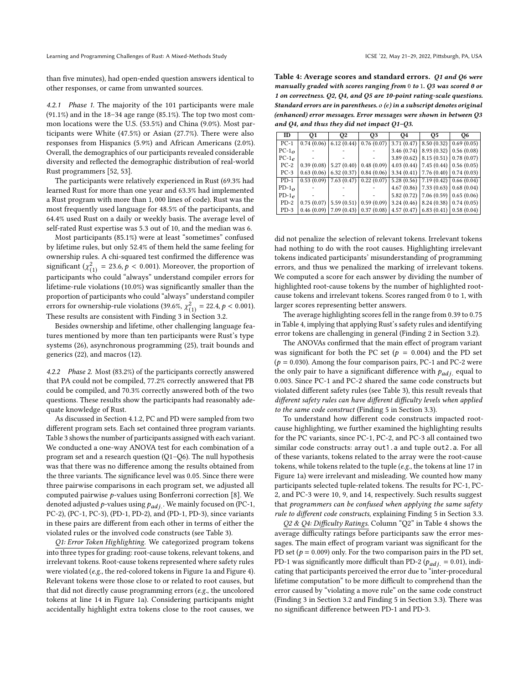than five minutes), had open-ended question answers identical to other responses, or came from unwanted sources.

4.2.1 Phase 1. The majority of the 101 participants were male (91.1%) and in the 18–34 age range (85.1%). The top two most common locations were the U.S. (53.5%) and China (9.0%). Most participants were White (47.5%) or Asian (27.7%). There were also responses from Hispanics (5.9%) and African Americans (2.0%). Overall, the demographics of our participants revealed considerable diversity and reflected the demographic distribution of real-world Rust programmers [\[52,](#page-12-12) [53\]](#page-12-19).

The participants were relatively experienced in Rust (69.3% had learned Rust for more than one year and 63.3% had implemented a Rust program with more than 1, 000 lines of code). Rust was the most frequently used language for 48.5% of the participants, and 64.4% used Rust on a daily or weekly basis. The average level of self-rated Rust expertise was 5.3 out of 10, and the median was 6.

Most participants (85.1%) were at least "sometimes" confused by lifetime rules, but only 52.4% of them held the same feeling for ownership rules. A chi-squared test confirmed the difference was significant ( $\chi^2_{(1)} = 23.6, p < 0.001$ ). Moreover, the proportion of participants who could "always" understand compiler errors for lifetime-rule violations (10.0%) was significantly smaller than the proportion of participants who could "always" understand compiler errors for ownership-rule violations (39.6%,  $\chi_{(1)}^2 = 22.4, p < 0.001$ ). These results are consistent with Finding [3](#page-5-1) in Section [3.2.](#page-4-2)

Besides ownership and lifetime, other challenging language features mentioned by more than ten participants were Rust's type systems (26), asynchronous programming (25), trait bounds and generics (22), and macros (12).

4.2.2 Phase 2. Most (83.2%) of the participants correctly answered that PA could not be compiled, 77.2% correctly answered that PB could be compiled, and 70.3% correctly answered both of the two questions. These results show the participants had reasonably adequate knowledge of Rust.

As discussed in Section [4.1.2,](#page-7-1) PC and PD were sampled from two different program sets. Each set contained three program variants. Table [3](#page-7-0) shows the number of participants assigned with each variant. We conducted a one-way ANOVA test for each combination of a program set and a research question (Q1–Q6). The null hypothesis was that there was no difference among the results obtained from the three variants. The significance level was 0.05. Since there were three pairwise comparisons in each program set, we adjusted all computed pairwise  $p$ -values using Bonferroni correction [\[8\]](#page-11-30). We denoted adjusted p-values using  $p_{adj.}$ . We mainly focused on (PC-1, PC-2), (PC-1, PC-3), (PD-1, PD-2), and (PD-1, PD-3), since variants in these pairs are different from each other in terms of either the violated rules or the involved code constructs (see Table [3\)](#page-7-0).

Q1: Error Token Highlighting. We categorized program tokens into three types for grading: root-cause tokens, relevant tokens, and irrelevant tokens. Root-cause tokens represented where safety rules were violated (e.g., the red-colored tokens in Figure [1a](#page-1-0) and Figure [4\)](#page-4-1). Relevant tokens were those close to or related to root causes, but that did not directly cause programming errors (e.g., the uncolored tokens at line 14 in Figure [1a\)](#page-1-0). Considering participants might accidentally highlight extra tokens close to the root causes, we

<span id="page-8-0"></span>Table 4: Average scores and standard errors. Q1 and Q6 were manually graded with scores ranging from 0 to 1. Q3 was scored 0 or 1 on correctness. Q2, Q4, and Q5 are 10-point rating-scale questions. Standard errors are in parentheses.  $o(e)$  in a subscript denotes original (enhanced) error messages. Error messages were shown in between Q3 and Q4, and thus they did not impact Q1–Q3.

| ID            | 01 | 02                                                                                           | O3 | 04 | О5                                       | О6 |
|---------------|----|----------------------------------------------------------------------------------------------|----|----|------------------------------------------|----|
| $PC-1$        |    | $0.74(0.06)$ 6.12 (0.44) 0.76 (0.07)                                                         |    |    | $3.71(0.47)$ 8.50 $(0.32)$ 0.69 $(0.05)$ |    |
| $PC-1O$       |    |                                                                                              |    |    | $3.46(0.74)$ 8.93 (0.32) 0.56 (0.08)     |    |
| $PC-1_{P}$    |    |                                                                                              |    |    | $3.89(0.62)$ 8.15 $(0.51)$ 0.78 $(0.07)$ |    |
| $PC-2$        |    | $0.39(0.08)$   5.27 (0.40)   0.48 (0.09)   4.03 (0.44)   7.45 (0.44)   0.56 (0.05)           |    |    |                                          |    |
| $PC-3$        |    | $0.63(0.06)$ 6.32 (0.37) 0.84 (0.06) 3.34 (0.41) 7.76 (0.40) 0.74 (0.03)                     |    |    |                                          |    |
| $PD-1$        |    | $0.53(0.09)$   7.63 $(0.47)$   0.22 $(0.07)$   5.28 $(0.56)$   7.19 $(0.42)$   0.66 $(0.04)$ |    |    |                                          |    |
| $PD-1O$       |    |                                                                                              |    |    | $4.67(0.86)$ 7.33 $(0.63)$ 0.68 $(0.04)$ |    |
| $PD-1_{\rho}$ |    |                                                                                              |    |    | $5.82(0.72)$ 7.06 (0.59) 0.65 (0.06)     |    |
| $PD-2$        |    | $0.75(0.07)$   5.59 (0.51)   0.59 (0.09)   3.24 (0.46)   8.24 (0.38)   0.74 (0.05)           |    |    |                                          |    |
| $PD-3$        |    | $0.46(0.09)$ 7.09 $(0.43)$ 0.37 $(0.08)$                                                     |    |    | $4.57(0.47)$ 6.83 $(0.41)$ 0.58 $(0.04)$ |    |

did not penalize the selection of relevant tokens. Irrelevant tokens had nothing to do with the root causes. Highlighting irrelevant tokens indicated participants' misunderstanding of programming errors, and thus we penalized the marking of irrelevant tokens. We computed a score for each answer by dividing the number of highlighted root-cause tokens by the number of highlighted rootcause tokens and irrelevant tokens. Scores ranged from 0 to 1, with larger scores representing better answers.

The average highlighting scores fell in the range from 0.39 to 0.75 in Table [4,](#page-8-0) implying that applying Rust's safety rules and identifying error tokens are challenging in general (Finding [2](#page-5-2) in Section [3.2\)](#page-4-2).

The ANOVAs confirmed that the main effect of program variant was significant for both the PC set ( $p = 0.004$ ) and the PD set  $(p = 0.030)$ . Among the four comparison pairs, PC-1 and PC-2 were the only pair to have a significant difference with  $p_{adj}$  equal to 0.003. Since PC-1 and PC-2 shared the same code constructs but violated different safety rules (see Table [3\)](#page-7-0), this result reveals that different safety rules can have different difficulty levels when applied to the same code construct (Finding [5](#page-6-3) in Section [3.3\)](#page-5-0).

To understand how different code constructs impacted rootcause highlighting, we further examined the highlighting results for the PC variants, since PC-1, PC-2, and PC-3 all contained two similar code constructs: array out1.a and tuple out2.a. For all of these variants, tokens related to the array were the root-cause tokens, while tokens related to the tuple (e.g., the tokens at line 17 in Figure [1a\)](#page-1-0) were irrelevant and misleading. We counted how many participants selected tuple-related tokens. The results for PC-1, PC-2, and PC-3 were 10, 9, and 14, respectively. Such results suggest that programmers can be confused when applying the same safety rule to different code constructs, explaining Finding [5](#page-6-3) in Section [3.3.](#page-5-0)

Q2 & Q4: Difficulty Ratings. Column "Q2" in Table [4](#page-8-0) shows the average difficulty ratings before participants saw the error messages. The main effect of program variant was significant for the PD set ( $p = 0.009$ ) only. For the two comparison pairs in the PD set, PD-1 was significantly more difficult than PD-2 ( $p_{adj.} = 0.01$ ), indicating that participants perceived the error due to "inter-procedural lifetime computation" to be more difficult to comprehend than the error caused by "violating a move rule" on the same code construct (Finding [3](#page-5-1) in Section [3.2](#page-4-2) and Finding [5](#page-6-3) in Section [3.3\)](#page-5-0). There was no significant difference between PD-1 and PD-3.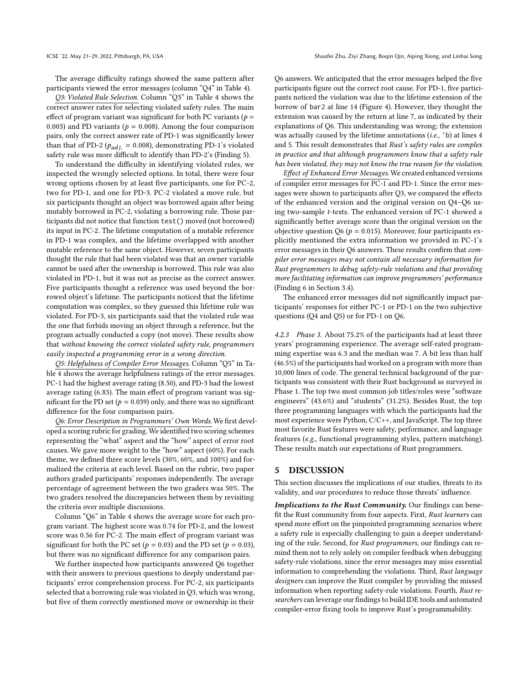The average difficulty ratings showed the same pattern after participants viewed the error messages (column "Q4" in Table [4\)](#page-8-0).

Q3: Violated Rule Selection. Column "Q3" in Table [4](#page-8-0) shows the correct answer rates for selecting violated safety rules. The main effect of program variant was significant for both PC variants ( $p =$ 0.003) and PD variants ( $p = 0.008$ ). Among the four comparison pairs, only the correct answer rate of PD-1 was significantly lower than that of PD-2 ( $p_{adi} = 0.008$ ), demonstrating PD-1's violated safety rule was more difficult to identify than PD-2's (Finding [5\)](#page-6-3).

To understand the difficulty in identifying violated rules, we inspected the wrongly selected options. In total, there were four wrong options chosen by at least five participants, one for PC-2, two for PD-1, and one for PD-3. PC-2 violated a move rule, but six participants thought an object was borrowed again after being mutably borrowed in PC-2, violating a borrowing rule. Those participants did not notice that function test() moved (not borrowed) its input in PC-2. The lifetime computation of a mutable reference in PD-1 was complex, and the lifetime overlapped with another mutable reference to the same object. However, seven participants thought the rule that had been violated was that an owner variable cannot be used after the ownership is borrowed. This rule was also violated in PD-1, but it was not as precise as the correct answer. Five participants thought a reference was used beyond the borrowed object's lifetime. The participants noticed that the lifetime computation was complex, so they guessed this lifetime rule was violated. For PD-3, six participants said that the violated rule was the one that forbids moving an object through a reference, but the program actually conducted a copy (not move). These results show that without knowing the correct violated safety rule, programmers easily inspected a programming error in a wrong direction.

Q5: Helpfulness of Compiler Error Messages. Column "Q5" in Table [4](#page-8-0) shows the average helpfulness ratings of the error messages. PC-1 had the highest average rating (8.50), and PD-3 had the lowest average rating (6.83). The main effect of program variant was significant for the PD set ( $p = 0.039$ ) only, and there was no significant difference for the four comparison pairs.

Q6: Error Description in Programmers' Own Words. We first developed a scoring rubric for grading. We identified two scoring schemes representing the "what" aspect and the "how" aspect of error root causes. We gave more weight to the "how" aspect (60%). For each theme, we defined three score levels (30%, 60%, and 100%) and formalized the criteria at each level. Based on the rubric, two paper authors graded participants' responses independently. The average percentage of agreement between the two graders was 50%. The two graders resolved the discrepancies between them by revisiting the criteria over multiple discussions.

Column "Q6" in Table [4](#page-8-0) shows the average score for each program variant. The highest score was 0.74 for PD-2, and the lowest score was 0.56 for PC-2. The main effect of program variant was significant for both the PC set ( $p = 0.03$ ) and the PD set ( $p = 0.03$ ), but there was no significant difference for any comparison pairs.

We further inspected how participants answered Q6 together with their answers to previous questions to deeply understand participants' error comprehension process. For PC-2, six participants selected that a borrowing rule was violated in Q3, which was wrong, but five of them correctly mentioned move or ownership in their

Q6 answers. We anticipated that the error messages helped the five participants figure out the correct root cause. For PD-1, five participants noticed the violation was due to the lifetime extension of the borrow of bar2 at line 14 (Figure [4\)](#page-4-1). However, they thought the extension was caused by the return at line 7, as indicated by their explanations of Q6. This understanding was wrong; the extension was actually caused by the lifetime annotations  $(i.e., 'b)$  at lines 4 and 5. This result demonstrates that Rust's safety rules are complex in practice and that although programmers know that a safety rule has been violated, they may not know the true reason for the violation.

Effect of Enhanced Error Messages. We created enhanced versions of compiler error messages for PC-1 and PD-1. Since the error messages were shown to participants after Q3, we compared the effects of the enhanced version and the original version on Q4–Q6 using two-sample t-tests. The enhanced version of PC-1 showed a significantly better average score than the original version on the objective question Q6 ( $p = 0.015$ ). Moreover, four participants explicitly mentioned the extra information we provided in PC-1's error messages in their Q6 answers. These results confirm that compiler error messages may not contain all necessary information for Rust programmers to debug safety-rule violations and that providing more facilitating information can improve programmers' performance (Finding [6](#page-6-4) in Section [3.4\)](#page-6-1).

The enhanced error messages did not significantly impact participants' responses for either PC-1 or PD-1 on the two subjective questions (Q4 and Q5) or for PD-1 on Q6.

4.2.3 Phase 3. About 75.2% of the participants had at least three years' programming experience. The average self-rated programming expertise was 6.3 and the median was 7. A bit less than half (46.5%) of the participants had worked on a program with more than 10,000 lines of code. The general technical background of the participants was consistent with their Rust background as surveyed in Phase 1. The top two most common job titles/roles were "software engineers" (43.6%) and "students" (31.2%). Besides Rust, the top three programming languages with which the participants had the most experience were Python, C/C++, and JavaScript. The top three most favorite Rust features were safety, performance, and language features (e.g., functional programming styles, pattern matching). These results match our expectations of Rust programmers.

# 5 DISCUSSION

This section discusses the implications of our studies, threats to its validity, and our procedures to reduce those threats' influence.

Implications to the Rust Community. Our findings can benefit the Rust community from four aspects. First, Rust learners can spend more effort on the pinpointed programming scenarios where a safety rule is especially challenging to gain a deeper understanding of the rule. Second, for Rust programmers, our findings can remind them not to rely solely on compiler feedback when debugging safety-rule violations, since the error messages may miss essential information to comprehending the violations. Third, Rust language designers can improve the Rust compiler by providing the missed information when reporting safety-rule violations. Fourth, Rust researchers can leverage our findings to build IDE tools and automated compiler-error fixing tools to improve Rust's programmability.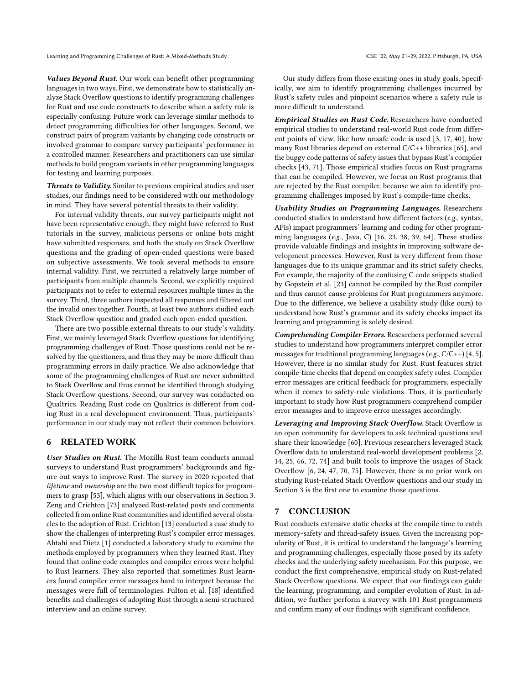Values Beyond Rust. Our work can benefit other programming languages in two ways. First, we demonstrate how to statistically analyze Stack Overflow questions to identify programming challenges for Rust and use code constructs to describe when a safety rule is especially confusing. Future work can leverage similar methods to detect programming difficulties for other languages. Second, we construct pairs of program variants by changing code constructs or involved grammar to compare survey participants' performance in a controlled manner. Researchers and practitioners can use similar methods to build program variants in other programming languages for testing and learning purposes.

Threats to Validity. Similar to previous empirical studies and user studies, our findings need to be considered with our methodology in mind. They have several potential threats to their validity.

For internal validity threats, our survey participants might not have been representative enough, they might have referred to Rust tutorials in the survey, malicious persons or online bots might have submitted responses, and both the study on Stack Overflow questions and the grading of open-ended questions were based on subjective assessments. We took several methods to ensure internal validity. First, we recruited a relatively large number of participants from multiple channels. Second, we explicitly required participants not to refer to external resources multiple times in the survey. Third, three authors inspected all responses and filtered out the invalid ones together. Fourth, at least two authors studied each Stack Overflow question and graded each open-ended question.

There are two possible external threats to our study's validity. First, we mainly leveraged Stack Overflow questions for identifying programming challenges of Rust. Those questions could not be resolved by the questioners, and thus they may be more difficult than programming errors in daily practice. We also acknowledge that some of the programming challenges of Rust are never submitted to Stack Overflow and thus cannot be identified through studying Stack Overflow questions. Second, our survey was conducted on Qualtrics. Reading Rust code on Qualtrics is different from coding Rust in a real development environment. Thus, participants' performance in our study may not reflect their common behaviors.

# 6 RELATED WORK

User Studies on Rust. The Mozilla Rust team conducts annual surveys to understand Rust programmers' backgrounds and figure out ways to improve Rust. The survey in 2020 reported that lifetime and ownership are the two most difficult topics for programmers to grasp [\[53\]](#page-12-19), which aligns with our observations in Section [3.](#page-3-0) Zeng and Crichton [\[73\]](#page-12-6) analyzed Rust-related posts and comments collected from online Rust communities and identified several obstacles to the adoption of Rust. Crichton [\[13\]](#page-11-14) conducted a case study to show the challenges of interpreting Rust's compiler error messages. Abtahi and Dietz [\[1\]](#page-11-8) conducted a laboratory study to examine the methods employed by programmers when they learned Rust. They found that online code examples and compiler errors were helpful to Rust learners. They also reported that sometimes Rust learners found compiler error messages hard to interpret because the messages were full of terminologies. Fulton et al. [\[18\]](#page-11-31) identified benefits and challenges of adopting Rust through a semi-structured interview and an online survey.

Our study differs from those existing ones in study goals. Specifically, we aim to identify programming challenges incurred by Rust's safety rules and pinpoint scenarios where a safety rule is more difficult to understand.

Empirical Studies on Rust Code. Researchers have conducted empirical studies to understand real-world Rust code from different points of view, like how unsafe code is used [\[3,](#page-11-32) [17,](#page-11-33) [40\]](#page-11-34), how many Rust libraries depend on external C/C++ libraries [\[65\]](#page-12-20), and the buggy code patterns of safety issues that bypass Rust's compiler checks [\[43,](#page-11-7) [71\]](#page-12-21). Those empirical studies focus on Rust programs that can be compiled. However, we focus on Rust programs that are rejected by the Rust compiler, because we aim to identify programming challenges imposed by Rust's compile-time checks.

Usability Studies on Programming Languages. Researchers conducted studies to understand how different factors (e.g., syntax, APIs) impact programmers' learning and coding for other programming languages (e.g., Java, C) [\[16,](#page-11-35) [23,](#page-11-36) [38,](#page-11-37) [39,](#page-11-38) [64\]](#page-12-22). These studies provide valuable findings and insights in improving software development processes. However, Rust is very different from those languages due to its unique grammar and its strict safety checks. For example, the majority of the confusing C code snippets studied by Gopstein et al. [\[23\]](#page-11-36) cannot be compiled by the Rust compiler and thus cannot cause problems for Rust programmers anymore. Due to the difference, we believe a usability study (like ours) to understand how Rust's grammar and its safety checks impact its learning and programming is solely desired.

Comprehending Compiler Errors. Researchers performed several studies to understand how programmers interpret compiler error messages for traditional programming languages (e.g.,  $C/C_{++}$ ) [\[4,](#page-11-39) [5\]](#page-11-40). However, there is no similar study for Rust. Rust features strict compile-time checks that depend on complex safety rules. Compiler error messages are critical feedback for programmers, especially when it comes to safety-rule violations. Thus, it is particularly important to study how Rust programmers comprehend compiler error messages and to improve error messages accordingly.

Leveraging and Improving Stack Overflow. Stack Overflow is an open community for developers to ask technical questions and share their knowledge [\[60\]](#page-12-23). Previous researchers leveraged Stack Overflow data to understand real-world development problems [\[2,](#page-11-11) [14,](#page-11-12) [25,](#page-11-41) [66,](#page-12-24) [72,](#page-12-25) [74\]](#page-12-11) and built tools to improve the usages of Stack Overflow [\[6,](#page-11-42) [24,](#page-11-43) [47,](#page-12-26) [70,](#page-12-27) [75\]](#page-12-28). However, there is no prior work on studying Rust-related Stack Overflow questions and our study in Section [3](#page-3-0) is the first one to examine those questions.

# 7 CONCLUSION

Rust conducts extensive static checks at the compile time to catch memory-safety and thread-safety issues. Given the increasing popularity of Rust, it is critical to understand the language's learning and programming challenges, especially those posed by its safety checks and the underlying safety mechanism. For this purpose, we conduct the first comprehensive, empirical study on Rust-related Stack Overflow questions. We expect that our findings can guide the learning, programming, and compiler evolution of Rust. In addition, we further perform a survey with 101 Rust programmers and confirm many of our findings with significant confidence.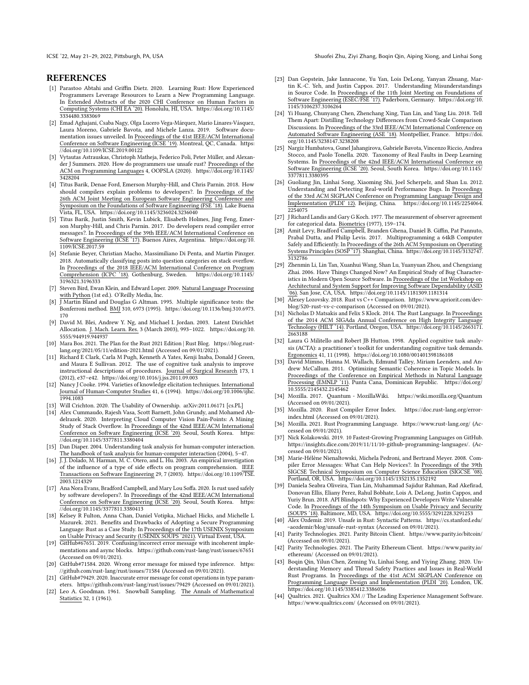# REFERENCES

- <span id="page-11-8"></span>[1] Parastoo Abtahi and Griffin Dietz. 2020. Learning Rust: How Experienced Programmers Leverage Resources to Learn a New Programming Language. In Extended Abstracts of the 2020 CHI Conference on Human Factors in Computing Systems (CHI EA '20). Honolulu, HI, USA. [https://doi.org/10.1145/](https://doi.org/10.1145/3334480.3383069) [3334480.3383069](https://doi.org/10.1145/3334480.3383069)
- <span id="page-11-11"></span>[2] Emad Aghajani, Csaba Nagy, Olga Lucero Vega-Márquez, Mario Linares-Vásquez, Laura Moreno, Gabriele Bavota, and Michele Lanza. 2019. Software documentation issues unveiled. In Proceedings of the 41st IEEE/ACM International Conference on Software Engineering (ICSE '19). Montreal, QC, Canada. [https:](https://doi.org/10.1109/ICSE.2019.00122) [//doi.org/10.1109/ICSE.2019.00122](https://doi.org/10.1109/ICSE.2019.00122)
- <span id="page-11-32"></span>[3] Vytautas Astrauskas, Christoph Matheja, Federico Poli, Peter Müller, and Alexander J Summers. 2020. How do programmers use unsafe rust? Proceedings of the ACM on Programming Languages 4, OOPSLA (2020). [https://doi.org/10.1145/](https://doi.org/10.1145/3428204) [3428204](https://doi.org/10.1145/3428204)
- <span id="page-11-39"></span>[4] Titus Barik, Denae Ford, Emerson Murphy-Hill, and Chris Parnin. 2018. How should compilers explain problems to developers?. In Proceedings of the 26th ACM Joint Meeting on European Software Engineering Conference and Symposium on the Foundations of Software Engineering (FSE '18). Lake Buena Vista, FL, USA.<https://doi.org/10.1145/3236024.3236040>
- <span id="page-11-40"></span>[5] Titus Barik, Justin Smith, Kevin Lubick, Elisabeth Holmes, Jing Feng, Emerson Murphy-Hill, and Chris Parnin. 2017. Do developers read compiler error messages?. In Proceedings of the 39th IEEE/ACM International Conference on Software Engineering (ICSE '17). Buenos Aires, Argentina. [https://doi.org/10.](https://doi.org/10.1109/ICSE.2017.59) [1109/ICSE.2017.59](https://doi.org/10.1109/ICSE.2017.59)
- <span id="page-11-42"></span>[6] Stefanie Beyer, Christian Macho, Massimiliano Di Penta, and Martin Pinzger. 2018. Automatically classifying posts into question categories on stack overflow. In <u>Proceedings of the 2018 IEEE/ACM International Conference on Program</u><br>Comprehension (ICPC '18), Gothenburg, Sweden, https://doi.org/10.1145/ Comprehension (ICPC '18). Gothenburg, Sweden. [3196321.3196333](https://doi.org/10.1145/3196321.3196333)
- <span id="page-11-21"></span>[7] Steven Bird, Ewan Klein, and Edward Loper. 2009. Natural Language Processing with Python (1st ed.). O'Reilly Media, Inc.
- <span id="page-11-30"></span>[8] J Martin Bland and Douglas G Altman. 1995. Multiple significance tests: the Bonferroni method. BMJ 310, 6973 (1995). [https://doi.org/10.1136/bmj.310.6973.](https://doi.org/10.1136/bmj.310.6973.170) [170](https://doi.org/10.1136/bmj.310.6973.170)
- <span id="page-11-13"></span>[9] David M. Blei, Andrew Y. Ng, and Michael I. Jordan. 2003. Latent Dirichlet Allocation. J. Mach. Learn. Res. 3 (March 2003), 993–1022. [https://doi.org/10.](https://doi.org/10.5555/944919.944937) [5555/944919.944937](https://doi.org/10.5555/944919.944937)
- <span id="page-11-10"></span>[10] Mara Bos. 2021. The Plan for the Rust 2021 Edition | Rust Blog. [https://blog.rust](https://blog.rust-lang.org/2021/05/11/edition-2021.html)[lang.org/2021/05/11/edition-2021.html](https://blog.rust-lang.org/2021/05/11/edition-2021.html) (Accessed on 09/01/2021).
- <span id="page-11-24"></span>[11] Richard E Clark, Carla M Pugh, Kenneth A Yates, Kenji Inaba, Donald J Green, and Maura E Sullivan. 2012. The use of cognitive task analysis to improve instructional descriptions of procedures. Journal of Surgical Research 173, 1 (2012), e37–e42.<https://doi.org/10.1016/j.jss.2011.09.003>
- <span id="page-11-25"></span>[12] Nancy J Cooke. 1994. Varieties of knowledge elicitation techniques. International Journal of Human-Computer Studies 41, 6 (1994). [https://doi.org/10.1006/ijhc.](https://doi.org/10.1006/ijhc.1994.1083) [1994.1083](https://doi.org/10.1006/ijhc.1994.1083)
- <span id="page-11-14"></span>[13] Will Crichton. 2020. The Usability of Ownership. arXiv[:2011.06171](https://arxiv.org/abs/2011.06171) [cs.PL]
- <span id="page-11-12"></span>[14] Alex Cummaudo, Rajesh Vasa, Scott Barnett, John Grundy, and Mohamed Abdelrazek. 2020. Interpreting Cloud Computer Vision Pain-Points: A Mining Study of Stack Overflow. In Proceedings of the 42nd IEEE/ACM International Conference on Software Engineering (ICSE '20). Seoul, South Korea. [//doi.org/10.1145/3377811.3380404](https://doi.org/10.1145/3377811.3380404)
- <span id="page-11-23"></span>[15] Dan Diaper. 2004. Understanding task analysis for human-computer interaction. The handbook of task analysis for human-computer interaction (2004), 5–47.
- <span id="page-11-35"></span>[16] J. J. Dolado, M. Harman, M. C. Otero, and L. Hu. 2003. An empirical investigation of the influence of a type of side effects on program comprehension. IEEE Transactions on Software Engineering 29, 7 (2003). [https://doi.org/10.1109/TSE.](https://doi.org/10.1109/TSE.2003.1214329) [2003.1214329](https://doi.org/10.1109/TSE.2003.1214329)
- <span id="page-11-33"></span>[17] Ana Nora Evans, Bradford Campbell, and Mary Lou Soffa. 2020. Is rust used safely by software developers?. In Proceedings of the 42nd IEEE/ACM International Conference on Software Engineering (ICSE '20). Seoul, South Korea. [https:](https://doi.org/10.1145/3377811.3380413) [//doi.org/10.1145/3377811.3380413](https://doi.org/10.1145/3377811.3380413)
- <span id="page-11-31"></span>[18] Kelsey R Fulton, Anna Chan, Daniel Votipka, Michael Hicks, and Michelle L Mazurek. 2021. Benefits and Drawbacks of Adopting a Secure Programming Language: Rust as a Case Study. In Proceedings of the 17th USENIX Symposium on Usable Privacy and Security (USENIX SOUPS '2021). Virtual Event, USA.
- <span id="page-11-16"></span>[19] GitHub#67651. 2019. Confusing/incorrect error message with incoherent implementations and async blocks.<https://github.com/rust-lang/rust/issues/67651> (Accessed on 09/01/2021).
- <span id="page-11-17"></span>[20] GitHub#71584. 2020. Wrong error message for missed type inference. [https:](https://github.com/rust-lang/rust/issues/71584) [//github.com/rust-lang/rust/issues/71584](https://github.com/rust-lang/rust/issues/71584) (Accessed on 09/01/2021).
- <span id="page-11-15"></span>[21] GitHub#79429. 2020. Inaccurate error message for const operations in type parameters.<https://github.com/rust-lang/rust/issues/79429> (Accessed on 09/01/2021).
- <span id="page-11-26"></span>[22] Leo A. Goodman. 1961. Snowball Sampling. The Annals of Mathematical Statistics 32, 1 (1961).
- <span id="page-11-36"></span>[23] Dan Gopstein, Jake Iannacone, Yu Yan, Lois DeLong, Yanyan Zhuang, Martin K.-C. Yeh, and Justin Cappos. 2017. Understanding Misunderstandings in Source Code. In Proceedings of the 11th Joint Meeting on Foundations of Software Engineering (ESEC/FSE '17). Paderborn, Germany. [https://doi.org/10.](https://doi.org/10.1145/3106237.3106264) [1145/3106237.3106264](https://doi.org/10.1145/3106237.3106264)
- <span id="page-11-43"></span>[24] Yi Huang, Chunyang Chen, Zhenchang Xing, Tian Lin, and Yang Liu. 2018. Tell Them Apart: Distilling Technology Differences from Crowd-Scale Comparison Discussions. In Proceedings of the 33rd IEEE/ACM International Conference on Automated Software Engineering (ASE '18). Montpellier, France. [https://doi.](https://doi.org/10.1145/3238147.3238208) [org/10.1145/3238147.3238208](https://doi.org/10.1145/3238147.3238208)
- <span id="page-11-41"></span>[25] Nargiz Humbatova, Gunel Jahangirova, Gabriele Bavota, Vincenzo Riccio, Andrea Stocco, and Paolo Tonella. 2020. Taxonomy of Real Faults in Deep Learning Systems. In Proceedings of the 42nd IEEE/ACM International Conference on Software Engineering (ICSE '20). Seoul, South Korea. [https://doi.org/10.1145/](https://doi.org/10.1145/3377811.3380395) [3377811.3380395](https://doi.org/10.1145/3377811.3380395)
- <span id="page-11-19"></span>[26] Guoliang Jin, Linhai Song, Xiaoming Shi, Joel Scherpelz, and Shan Lu. 2012. Understanding and Detecting Real-world Performance Bugs. In Proceedings of the 33rd ACM SIGPLAN Conference on Programming Language Design and Implementation (PLDI' 12). Beijing, China. [https://doi.org/10.1145/2254064.](https://doi.org/10.1145/2254064.2254075) [2254075](https://doi.org/10.1145/2254064.2254075)
- <span id="page-11-27"></span>[27] J Richard Landis and Gary G Koch. 1977. The measurement of observer agreement for categorical data. Biometrics (1977), 159–174.
- <span id="page-11-3"></span>[28] Amit Levy, Bradford Campbell, Branden Ghena, Daniel B. Giffin, Pat Pannuto, Prabal Dutta, and Philip Levis. 2017. Multiprogramming a 64kB Computer Safely and Efficiently. In Proceedings of the 26th ACM Symposium on Operating Systems Principles (SOSP '17). Shanghai, China. [https://doi.org/10.1145/3132747.](https://doi.org/10.1145/3132747.3132786) [3132786](https://doi.org/10.1145/3132747.3132786)
- <span id="page-11-20"></span>[29] Zhenmin Li, Lin Tan, Xuanhui Wang, Shan Lu, Yuanyuan Zhou, and Chengxiang Zhai. 2006. Have Things Changed Now? An Empirical Study of Bug Characteristics in Modern Open Source Software. In Proceedings of the 1st Workshop on Architectural and System Support for Improving Software Dependability (ASID '06). San Jose, CA, USA.<https://doi.org/10.1145/1181309.1181314>
- <span id="page-11-9"></span>[30] Alexey Lozovsky. 2018. Rust vs C++ Comparison. [https://www.apriorit.com/dev](https://www.apriorit.com/dev-blog/520-rust-vs-c-comparison)[blog/520-rust-vs-c-comparison](https://www.apriorit.com/dev-blog/520-rust-vs-c-comparison) (Accessed on 09/01/2021).
- <span id="page-11-0"></span>[31] Nicholas D Matsakis and Felix S Klock. 2014. The Rust Language. In Proceedings of the 2014 ACM SIGAda Annual Conference on High Integrity Language Technology (HILT '14). Portland, Oregon, USA. [https://doi.org/10.1145/2663171.](https://doi.org/10.1145/2663171.2663188) [2663188](https://doi.org/10.1145/2663171.2663188)
- <span id="page-11-18"></span>[32] Laura G Militello and Robert JB Hutton. 1998. Applied cognitive task analysis (ACTA): a practitioner's toolkit for understanding cognitive task demands. Ergonomics 41, 11 (1998).<https://doi.org/10.1080/001401398186108>
- <span id="page-11-22"></span>[33] David Mimno, Hanna M. Wallach, Edmund Talley, Miriam Leenders, and Andrew McCallum. 2011. Optimizing Semantic Coherence in Topic Models. In Proceedings of the Conference on Empirical Methods in Natural Language Processing (EMNLP '11). Punta Cana, Dominican Republic. [https://doi.org/](https://doi.org/10.5555/2145432.2145462) [10.5555/2145432.2145462](https://doi.org/10.5555/2145432.2145462)
- <span id="page-11-4"></span>[34] Mozilla. 2017. Quantum - MozillaWiki.<https://wiki.mozilla.org/Quantum> (Accessed on 09/01/2021).
- <span id="page-11-29"></span>[35] Mozilla. 2020. Rust Compiler Error Index. [https://doc.rust-lang.org/error](https://doc.rust-lang.org/error-index.html)[index.html](https://doc.rust-lang.org/error-index.html) (Accessed on 09/01/2021).
- <span id="page-11-1"></span>[36] Mozilla. 2021. Rust Programming Language.<https://www.rust-lang.org/> (Accessed on 09/01/2021).
- <span id="page-11-2"></span>[37] Nick Kolakowski. 2019. 10 Fastest-Growing Programming Languages on GitHub. [https://insights.dice.com/2019/11/11/10-github-programming-languages/.](https://insights.dice.com/2019/11/11/10-github-programming-languages/) (Accessed on 09/01/2021).
- <span id="page-11-37"></span>[38] Marie-Hélène Nienaltowski, Michela Pedroni, and Bertrand Meyer. 2008. Compiler Error Messages: What Can Help Novices?. In Proceedings of the 39th SIGCSE Technical Symposium on Computer Science Education (SIGCSE '08). Portland, OR, USA.<https://doi.org/10.1145/1352135.1352192>
- <span id="page-11-38"></span>[39] Daniela Seabra Oliveira, Tian Lin, Muhammad Sajidur Rahman, Rad Akefirad, Donovan Ellis, Eliany Perez, Rahul Bobhate, Lois A. DeLong, Justin Cappos, and Yuriy Brun. 2018. API Blindspots: Why Experienced Developers Write Vulnerable Code. In Proceedings of the 14th Symposium on Usable Privacy and Security (SOUPS '18). Baltimore, MD, USA.<https://doi.org/10.5555/3291228.3291253>
- <span id="page-11-34"></span>[40] Alex Ozdemir. 2019. Unsafe in Rust: Syntactic Patterns. [https://cs.stanford.edu/](https://cs.stanford.edu/~aozdemir/blog/unsafe-rust-syntax) [~aozdemir/blog/unsafe-rust-syntax](https://cs.stanford.edu/~aozdemir/blog/unsafe-rust-syntax) (Accessed on 09/01/2021).
- <span id="page-11-5"></span>[41] Parity Technologies. 2021. Parity Bitcoin Client.<https://www.parity.io/bitcoin/> (Accessed on 09/01/2021).
- <span id="page-11-6"></span>[42] Parity Technologies. 2021. The Parity Ethereum Client. [https://www.parity.io/](https://www.parity.io/ethereum/) [ethereum/](https://www.parity.io/ethereum/) (Accessed on 09/01/2021).
- <span id="page-11-7"></span>[43] Boqin Qin, Yilun Chen, Zeming Yu, Linhai Song, and Yiying Zhang. 2020. Understanding Memory and Thread Safety Practices and Issues in Real-World Rust Programs. In Proceedings of the 41st ACM SIGPLAN Conference on Programming Language Design and Implementation (PLDI '20). London, UK. <https://doi.org/10.1145/3385412.3386036>
- <span id="page-11-28"></span>[44] Qualtrics. 2021. Qualtrics XM // The Leading Experience Management Software. <https://www.qualtrics.com/> (Accessed on 09/01/2021).